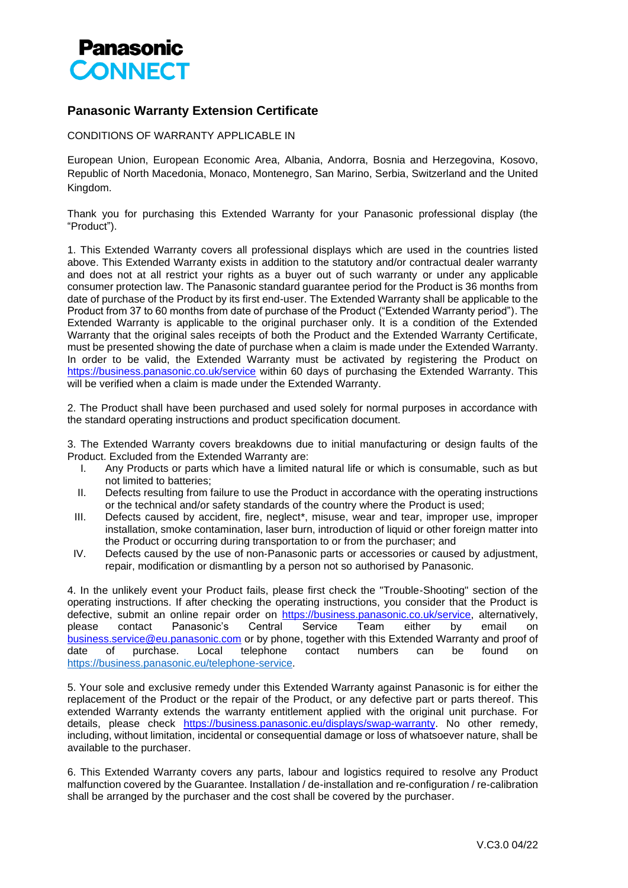

## **Panasonic Warranty Extension Certificate**

CONDITIONS OF WARRANTY APPLICABLE IN

European Union, European Economic Area, Albania, Andorra, Bosnia and Herzegovina, Kosovo, Republic of North Macedonia, Monaco, Montenegro, San Marino, Serbia, Switzerland and the United Kingdom.

Thank you for purchasing this Extended Warranty for your Panasonic professional display (the "Product").

1. This Extended Warranty covers all professional displays which are used in the countries listed above. This Extended Warranty exists in addition to the statutory and/or contractual dealer warranty and does not at all restrict your rights as a buyer out of such warranty or under any applicable consumer protection law. The Panasonic standard guarantee period for the Product is 36 months from date of purchase of the Product by its first end-user. The Extended Warranty shall be applicable to the Product from 37 to 60 months from date of purchase of the Product ("Extended Warranty period"). The Extended Warranty is applicable to the original purchaser only. It is a condition of the Extended Warranty that the original sales receipts of both the Product and the Extended Warranty Certificate, must be presented showing the date of purchase when a claim is made under the Extended Warranty. In order to be valid, the Extended Warranty must be activated by registering the Product on https://business.panasonic.co.uk/service within 60 days of purchasing the Extended Warranty. This will be verified when a claim is made under the Extended Warranty.

2. The Product shall have been purchased and used solely for normal purposes in accordance with the standard operating instructions and product specification document.

3. The Extended Warranty covers breakdowns due to initial manufacturing or design faults of the Product. Excluded from the Extended Warranty are:

- I. Any Products or parts which have a limited natural life or which is consumable, such as but not limited to batteries;
- II. Defects resulting from failure to use the Product in accordance with the operating instructions or the technical and/or safety standards of the country where the Product is used;
- III. Defects caused by accident, fire, neglect\*, misuse, wear and tear, improper use, improper installation, smoke contamination, laser burn, introduction of liquid or other foreign matter into the Product or occurring during transportation to or from the purchaser; and
- IV. Defects caused by the use of non‐Panasonic parts or accessories or caused by adjustment, repair, modification or dismantling by a person not so authorised by Panasonic.

4. In the unlikely event your Product fails, please first check the "Trouble-Shooting" section of the operating instructions. If after checking the operating instructions, you consider that the Product is defective, submit an online repair order on https://business.panasonic.co.uk/service, alternatively, please contact Panasonic's Central Service Team either by email on [business.service@eu.panasonic.com](mailto:business.service@eu.panasonic.com) or by phone, together with this Extended Warranty and proof of date of purchase. Local telephone contact numbers can be found on [https://business.panasonic.eu/telephone-service.](https://business.panasonic.eu/telephone-service)

5. Your sole and exclusive remedy under this Extended Warranty against Panasonic is for either the replacement of the Product or the repair of the Product, or any defective part or parts thereof. This extended Warranty extends the warranty entitlement applied with the original unit purchase. For details, please check https://business.panasonic.eu/displays/swap-warranty. No other remedy, including, without limitation, incidental or consequential damage or loss of whatsoever nature, shall be available to the purchaser.

6. This Extended Warranty covers any parts, labour and logistics required to resolve any Product malfunction covered by the Guarantee. Installation / de-installation and re-configuration / re-calibration shall be arranged by the purchaser and the cost shall be covered by the purchaser.